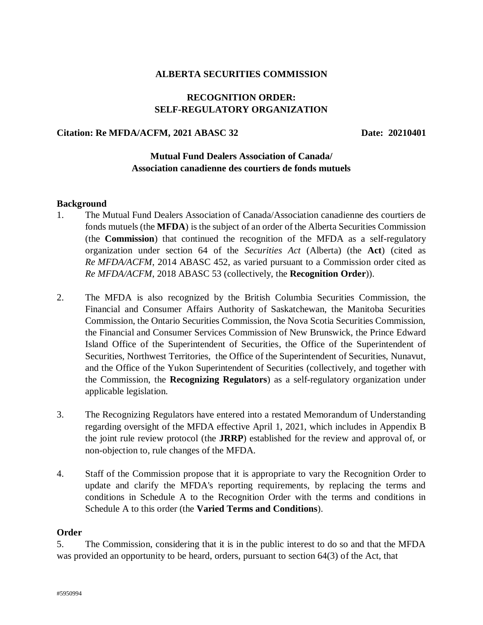#### **ALBERTA SECURITIES COMMISSION**

# **RECOGNITION ORDER: SELF-REGULATORY ORGANIZATION**

#### **Citation: Re MFDA/ACFM, 2021 ABASC 32 Date: 20210401**

### **Mutual Fund Dealers Association of Canada/ Association canadienne des courtiers de fonds mutuels**

#### **Background**

- 1. The Mutual Fund Dealers Association of Canada/Association canadienne des courtiers de fonds mutuels (the **MFDA**) is the subject of an order of the Alberta Securities Commission (the **Commission**) that continued the recognition of the MFDA as a self-regulatory organization under section 64 of the *Securities Act* (Alberta) (the **Act**) (cited as *Re MFDA/ACFM*, 2014 ABASC 452, as varied pursuant to a Commission order cited as *Re MFDA/ACFM*, 2018 ABASC 53 (collectively, the **Recognition Order**)).
- 2. The MFDA is also recognized by the British Columbia Securities Commission, the Financial and Consumer Affairs Authority of Saskatchewan, the Manitoba Securities Commission, the Ontario Securities Commission, the Nova Scotia Securities Commission, the Financial and Consumer Services Commission of New Brunswick, the Prince Edward Island Office of the Superintendent of Securities, the Office of the Superintendent of Securities, Northwest Territories, the Office of the Superintendent of Securities, Nunavut, and the Office of the Yukon Superintendent of Securities (collectively, and together with the Commission, the **Recognizing Regulators**) as a self-regulatory organization under applicable legislation.
- 3. The Recognizing Regulators have entered into a restated Memorandum of Understanding regarding oversight of the MFDA effective April 1, 2021, which includes in Appendix B the joint rule review protocol (the **JRRP**) established for the review and approval of, or non-objection to, rule changes of the MFDA.
- 4. Staff of the Commission propose that it is appropriate to vary the Recognition Order to update and clarify the MFDA's reporting requirements, by replacing the terms and conditions in Schedule A to the Recognition Order with the terms and conditions in Schedule A to this order (the **Varied Terms and Conditions**).

#### **Order**

5. The Commission, considering that it is in the public interest to do so and that the MFDA was provided an opportunity to be heard, orders, pursuant to section 64(3) of the Act, that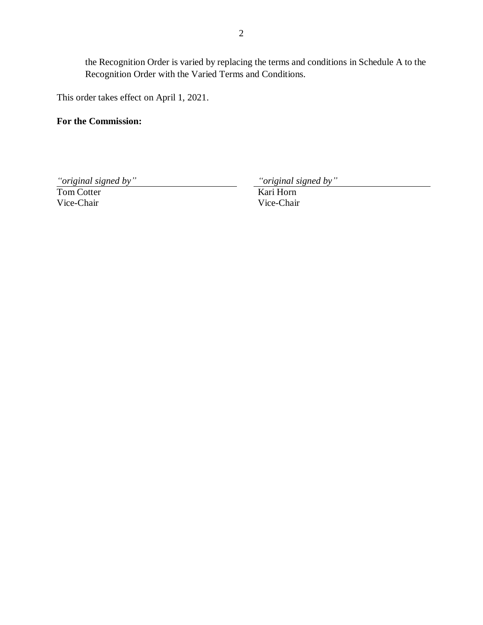the Recognition Order is varied by replacing the terms and conditions in Schedule A to the Recognition Order with the Varied Terms and Conditions.

This order takes effect on April 1, 2021.

# **For the Commission:**

*"original signed by" "original signed by"*

Tom Cotter Vice-Chair

Kari Horn Vice-Chair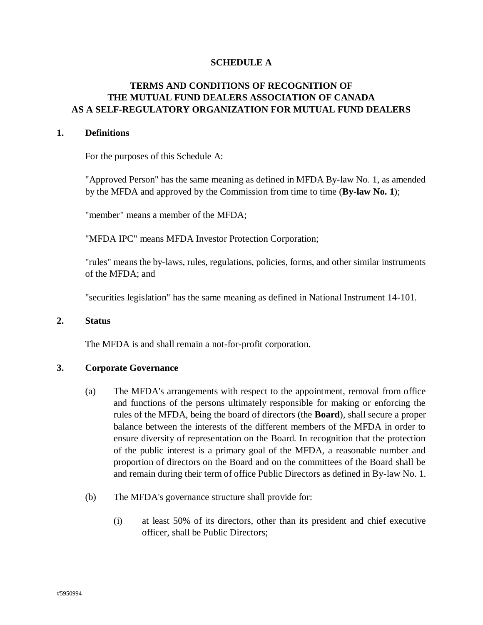### **SCHEDULE A**

# **TERMS AND CONDITIONS OF RECOGNITION OF THE MUTUAL FUND DEALERS ASSOCIATION OF CANADA AS A SELF-REGULATORY ORGANIZATION FOR MUTUAL FUND DEALERS**

#### **1. Definitions**

For the purposes of this Schedule A:

"Approved Person" has the same meaning as defined in MFDA By-law No. 1, as amended by the MFDA and approved by the Commission from time to time (**By-law No. 1**);

"member" means a member of the MFDA;

"MFDA IPC" means MFDA Investor Protection Corporation;

"rules" means the by-laws, rules, regulations, policies, forms, and other similar instruments of the MFDA; and

"securities legislation" has the same meaning as defined in National Instrument 14-101.

#### **2. Status**

The MFDA is and shall remain a not-for-profit corporation.

#### **3. Corporate Governance**

- (a) The MFDA's arrangements with respect to the appointment, removal from office and functions of the persons ultimately responsible for making or enforcing the rules of the MFDA, being the board of directors (the **Board**), shall secure a proper balance between the interests of the different members of the MFDA in order to ensure diversity of representation on the Board. In recognition that the protection of the public interest is a primary goal of the MFDA, a reasonable number and proportion of directors on the Board and on the committees of the Board shall be and remain during their term of office Public Directors as defined in By-law No. 1.
- (b) The MFDA's governance structure shall provide for:
	- (i) at least 50% of its directors, other than its president and chief executive officer, shall be Public Directors;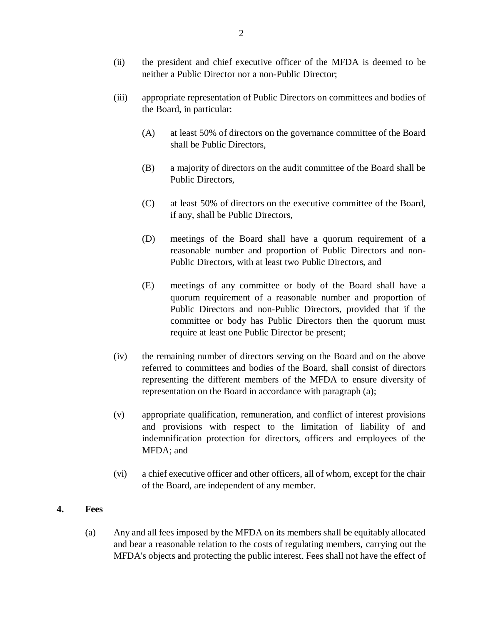- (ii) the president and chief executive officer of the MFDA is deemed to be neither a Public Director nor a non-Public Director;
- (iii) appropriate representation of Public Directors on committees and bodies of the Board, in particular:
	- (A) at least 50% of directors on the governance committee of the Board shall be Public Directors,
	- (B) a majority of directors on the audit committee of the Board shall be Public Directors,
	- (C) at least 50% of directors on the executive committee of the Board, if any, shall be Public Directors,
	- (D) meetings of the Board shall have a quorum requirement of a reasonable number and proportion of Public Directors and non-Public Directors, with at least two Public Directors, and
	- (E) meetings of any committee or body of the Board shall have a quorum requirement of a reasonable number and proportion of Public Directors and non-Public Directors, provided that if the committee or body has Public Directors then the quorum must require at least one Public Director be present;
- (iv) the remaining number of directors serving on the Board and on the above referred to committees and bodies of the Board, shall consist of directors representing the different members of the MFDA to ensure diversity of representation on the Board in accordance with paragraph (a);
- (v) appropriate qualification, remuneration, and conflict of interest provisions and provisions with respect to the limitation of liability of and indemnification protection for directors, officers and employees of the MFDA; and
- (vi) a chief executive officer and other officers, all of whom, except for the chair of the Board, are independent of any member.

# **4. Fees**

(a) Any and all fees imposed by the MFDA on its members shall be equitably allocated and bear a reasonable relation to the costs of regulating members, carrying out the MFDA's objects and protecting the public interest. Fees shall not have the effect of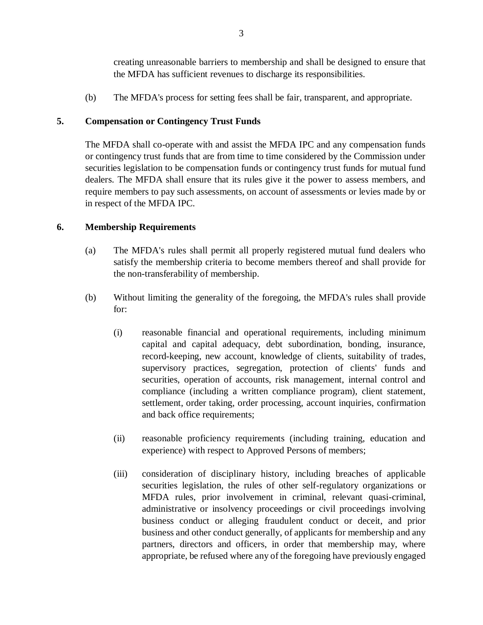creating unreasonable barriers to membership and shall be designed to ensure that the MFDA has sufficient revenues to discharge its responsibilities.

(b) The MFDA's process for setting fees shall be fair, transparent, and appropriate.

# **5. Compensation or Contingency Trust Funds**

The MFDA shall co-operate with and assist the MFDA IPC and any compensation funds or contingency trust funds that are from time to time considered by the Commission under securities legislation to be compensation funds or contingency trust funds for mutual fund dealers. The MFDA shall ensure that its rules give it the power to assess members, and require members to pay such assessments, on account of assessments or levies made by or in respect of the MFDA IPC.

# **6. Membership Requirements**

- (a) The MFDA's rules shall permit all properly registered mutual fund dealers who satisfy the membership criteria to become members thereof and shall provide for the non-transferability of membership.
- (b) Without limiting the generality of the foregoing, the MFDA's rules shall provide for:
	- (i) reasonable financial and operational requirements, including minimum capital and capital adequacy, debt subordination, bonding, insurance, record-keeping, new account, knowledge of clients, suitability of trades, supervisory practices, segregation, protection of clients' funds and securities, operation of accounts, risk management, internal control and compliance (including a written compliance program), client statement, settlement, order taking, order processing, account inquiries, confirmation and back office requirements;
	- (ii) reasonable proficiency requirements (including training, education and experience) with respect to Approved Persons of members;
	- (iii) consideration of disciplinary history, including breaches of applicable securities legislation, the rules of other self-regulatory organizations or MFDA rules, prior involvement in criminal, relevant quasi-criminal, administrative or insolvency proceedings or civil proceedings involving business conduct or alleging fraudulent conduct or deceit, and prior business and other conduct generally, of applicants for membership and any partners, directors and officers, in order that membership may, where appropriate, be refused where any of the foregoing have previously engaged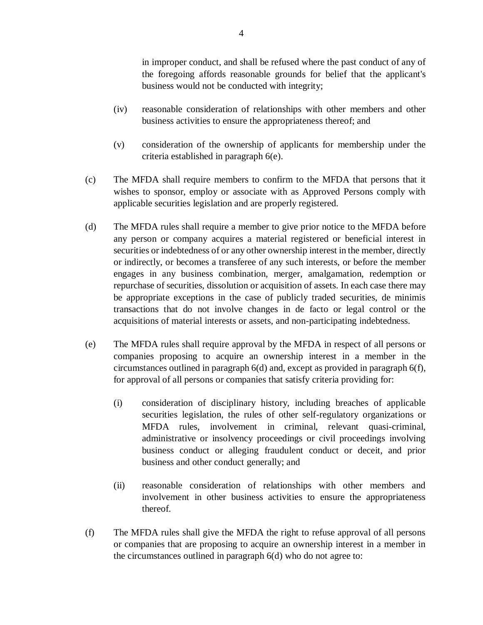in improper conduct, and shall be refused where the past conduct of any of the foregoing affords reasonable grounds for belief that the applicant's business would not be conducted with integrity;

- (iv) reasonable consideration of relationships with other members and other business activities to ensure the appropriateness thereof; and
- (v) consideration of the ownership of applicants for membership under the criteria established in paragraph 6(e).
- (c) The MFDA shall require members to confirm to the MFDA that persons that it wishes to sponsor, employ or associate with as Approved Persons comply with applicable securities legislation and are properly registered.
- (d) The MFDA rules shall require a member to give prior notice to the MFDA before any person or company acquires a material registered or beneficial interest in securities or indebtedness of or any other ownership interest in the member, directly or indirectly, or becomes a transferee of any such interests, or before the member engages in any business combination, merger, amalgamation, redemption or repurchase of securities, dissolution or acquisition of assets. In each case there may be appropriate exceptions in the case of publicly traded securities, de minimis transactions that do not involve changes in de facto or legal control or the acquisitions of material interests or assets, and non-participating indebtedness.
- (e) The MFDA rules shall require approval by the MFDA in respect of all persons or companies proposing to acquire an ownership interest in a member in the circumstances outlined in paragraph 6(d) and, except as provided in paragraph 6(f), for approval of all persons or companies that satisfy criteria providing for:
	- (i) consideration of disciplinary history, including breaches of applicable securities legislation, the rules of other self-regulatory organizations or MFDA rules, involvement in criminal, relevant quasi-criminal, administrative or insolvency proceedings or civil proceedings involving business conduct or alleging fraudulent conduct or deceit, and prior business and other conduct generally; and
	- (ii) reasonable consideration of relationships with other members and involvement in other business activities to ensure the appropriateness thereof.
- (f) The MFDA rules shall give the MFDA the right to refuse approval of all persons or companies that are proposing to acquire an ownership interest in a member in the circumstances outlined in paragraph 6(d) who do not agree to: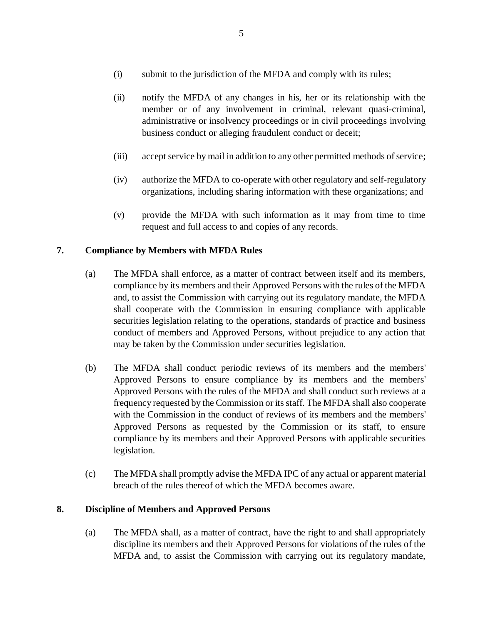- (i) submit to the jurisdiction of the MFDA and comply with its rules;
- (ii) notify the MFDA of any changes in his, her or its relationship with the member or of any involvement in criminal, relevant quasi-criminal, administrative or insolvency proceedings or in civil proceedings involving business conduct or alleging fraudulent conduct or deceit;
- (iii) accept service by mail in addition to any other permitted methods of service;
- (iv) authorize the MFDA to co-operate with other regulatory and self-regulatory organizations, including sharing information with these organizations; and
- (v) provide the MFDA with such information as it may from time to time request and full access to and copies of any records.

# **7. Compliance by Members with MFDA Rules**

- (a) The MFDA shall enforce, as a matter of contract between itself and its members, compliance by its members and their Approved Persons with the rules of the MFDA and, to assist the Commission with carrying out its regulatory mandate, the MFDA shall cooperate with the Commission in ensuring compliance with applicable securities legislation relating to the operations, standards of practice and business conduct of members and Approved Persons, without prejudice to any action that may be taken by the Commission under securities legislation.
- (b) The MFDA shall conduct periodic reviews of its members and the members' Approved Persons to ensure compliance by its members and the members' Approved Persons with the rules of the MFDA and shall conduct such reviews at a frequency requested by the Commission or its staff. The MFDA shall also cooperate with the Commission in the conduct of reviews of its members and the members' Approved Persons as requested by the Commission or its staff, to ensure compliance by its members and their Approved Persons with applicable securities legislation.
- (c) The MFDA shall promptly advise the MFDA IPC of any actual or apparent material breach of the rules thereof of which the MFDA becomes aware.

### **8. Discipline of Members and Approved Persons**

(a) The MFDA shall, as a matter of contract, have the right to and shall appropriately discipline its members and their Approved Persons for violations of the rules of the MFDA and, to assist the Commission with carrying out its regulatory mandate,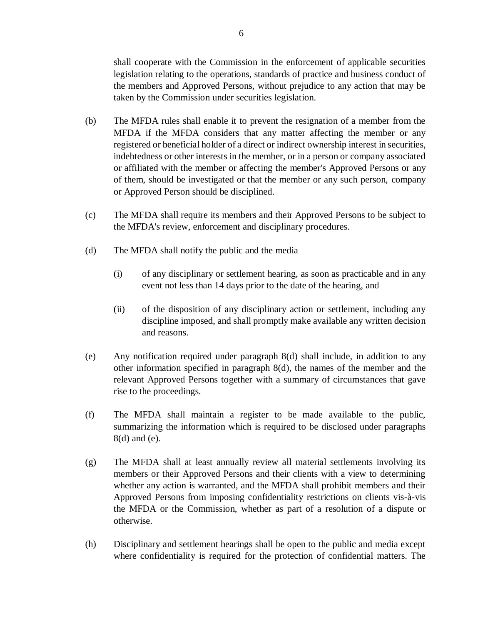shall cooperate with the Commission in the enforcement of applicable securities legislation relating to the operations, standards of practice and business conduct of the members and Approved Persons, without prejudice to any action that may be taken by the Commission under securities legislation.

- (b) The MFDA rules shall enable it to prevent the resignation of a member from the MFDA if the MFDA considers that any matter affecting the member or any registered or beneficial holder of a direct or indirect ownership interest in securities, indebtedness or other interests in the member, or in a person or company associated or affiliated with the member or affecting the member's Approved Persons or any of them, should be investigated or that the member or any such person, company or Approved Person should be disciplined.
- (c) The MFDA shall require its members and their Approved Persons to be subject to the MFDA's review, enforcement and disciplinary procedures.
- (d) The MFDA shall notify the public and the media
	- (i) of any disciplinary or settlement hearing, as soon as practicable and in any event not less than 14 days prior to the date of the hearing, and
	- (ii) of the disposition of any disciplinary action or settlement, including any discipline imposed, and shall promptly make available any written decision and reasons.
- (e) Any notification required under paragraph 8(d) shall include, in addition to any other information specified in paragraph 8(d), the names of the member and the relevant Approved Persons together with a summary of circumstances that gave rise to the proceedings.
- (f) The MFDA shall maintain a register to be made available to the public, summarizing the information which is required to be disclosed under paragraphs 8(d) and (e).
- (g) The MFDA shall at least annually review all material settlements involving its members or their Approved Persons and their clients with a view to determining whether any action is warranted, and the MFDA shall prohibit members and their Approved Persons from imposing confidentiality restrictions on clients vis-à-vis the MFDA or the Commission, whether as part of a resolution of a dispute or otherwise.
- (h) Disciplinary and settlement hearings shall be open to the public and media except where confidentiality is required for the protection of confidential matters. The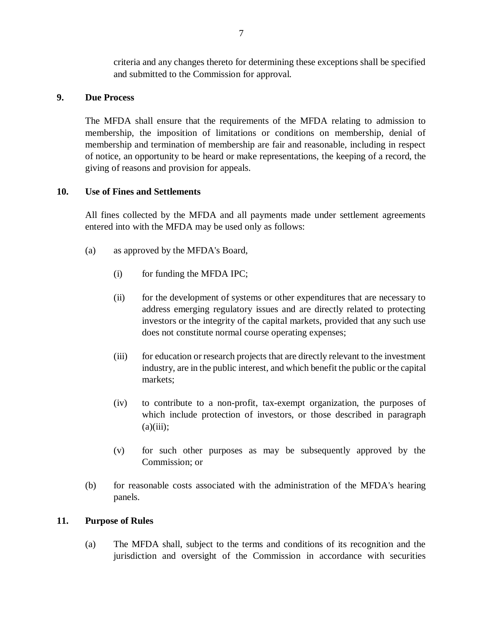criteria and any changes thereto for determining these exceptions shall be specified and submitted to the Commission for approval.

### **9. Due Process**

The MFDA shall ensure that the requirements of the MFDA relating to admission to membership, the imposition of limitations or conditions on membership, denial of membership and termination of membership are fair and reasonable, including in respect of notice, an opportunity to be heard or make representations, the keeping of a record, the giving of reasons and provision for appeals.

### **10. Use of Fines and Settlements**

All fines collected by the MFDA and all payments made under settlement agreements entered into with the MFDA may be used only as follows:

- (a) as approved by the MFDA's Board,
	- (i) for funding the MFDA IPC;
	- (ii) for the development of systems or other expenditures that are necessary to address emerging regulatory issues and are directly related to protecting investors or the integrity of the capital markets, provided that any such use does not constitute normal course operating expenses;
	- (iii) for education or research projects that are directly relevant to the investment industry, are in the public interest, and which benefit the public or the capital markets;
	- (iv) to contribute to a non-profit, tax-exempt organization, the purposes of which include protection of investors, or those described in paragraph  $(a)(iii);$
	- (v) for such other purposes as may be subsequently approved by the Commission; or
- (b) for reasonable costs associated with the administration of the MFDA's hearing panels.

# **11. Purpose of Rules**

(a) The MFDA shall, subject to the terms and conditions of its recognition and the jurisdiction and oversight of the Commission in accordance with securities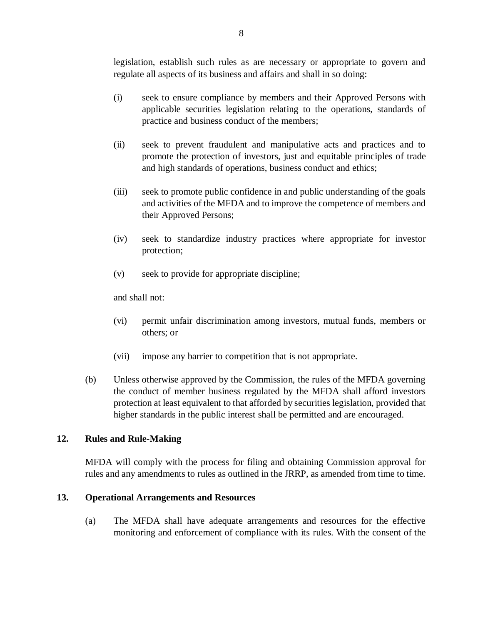legislation, establish such rules as are necessary or appropriate to govern and regulate all aspects of its business and affairs and shall in so doing:

- (i) seek to ensure compliance by members and their Approved Persons with applicable securities legislation relating to the operations, standards of practice and business conduct of the members;
- (ii) seek to prevent fraudulent and manipulative acts and practices and to promote the protection of investors, just and equitable principles of trade and high standards of operations, business conduct and ethics;
- (iii) seek to promote public confidence in and public understanding of the goals and activities of the MFDA and to improve the competence of members and their Approved Persons;
- (iv) seek to standardize industry practices where appropriate for investor protection;
- (v) seek to provide for appropriate discipline;

and shall not:

- (vi) permit unfair discrimination among investors, mutual funds, members or others; or
- (vii) impose any barrier to competition that is not appropriate.
- (b) Unless otherwise approved by the Commission, the rules of the MFDA governing the conduct of member business regulated by the MFDA shall afford investors protection at least equivalent to that afforded by securities legislation, provided that higher standards in the public interest shall be permitted and are encouraged.

### **12. Rules and Rule-Making**

MFDA will comply with the process for filing and obtaining Commission approval for rules and any amendments to rules as outlined in the JRRP, as amended from time to time.

### **13. Operational Arrangements and Resources**

(a) The MFDA shall have adequate arrangements and resources for the effective monitoring and enforcement of compliance with its rules. With the consent of the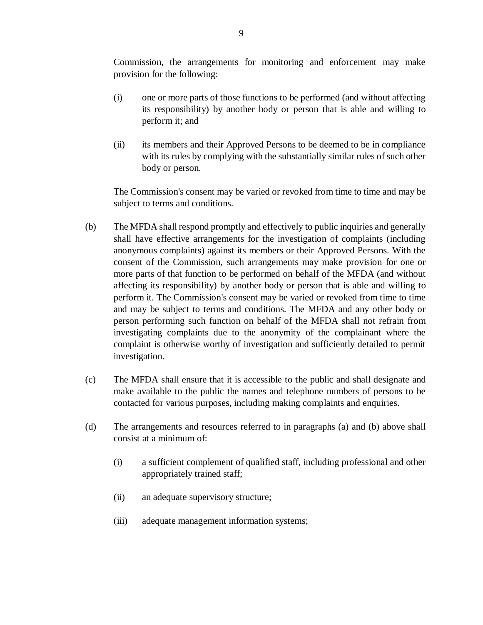Commission, the arrangements for monitoring and enforcement may make provision for the following:

- (i) one or more parts of those functions to be performed (and without affecting its responsibility) by another body or person that is able and willing to perform it; and
- (ii) its members and their Approved Persons to be deemed to be in compliance with its rules by complying with the substantially similar rules of such other body or person.

The Commission's consent may be varied or revoked from time to time and may be subject to terms and conditions.

- (b) The MFDA shall respond promptly and effectively to public inquiries and generally shall have effective arrangements for the investigation of complaints (including anonymous complaints) against its members or their Approved Persons. With the consent of the Commission, such arrangements may make provision for one or more parts of that function to be performed on behalf of the MFDA (and without affecting its responsibility) by another body or person that is able and willing to perform it. The Commission's consent may be varied or revoked from time to time and may be subject to terms and conditions. The MFDA and any other body or person performing such function on behalf of the MFDA shall not refrain from investigating complaints due to the anonymity of the complainant where the complaint is otherwise worthy of investigation and sufficiently detailed to permit investigation.
- (c) The MFDA shall ensure that it is accessible to the public and shall designate and make available to the public the names and telephone numbers of persons to be contacted for various purposes, including making complaints and enquiries.
- (d) The arrangements and resources referred to in paragraphs (a) and (b) above shall consist at a minimum of:
	- (i) a sufficient complement of qualified staff, including professional and other appropriately trained staff;
	- (ii) an adequate supervisory structure;
	- (iii) adequate management information systems;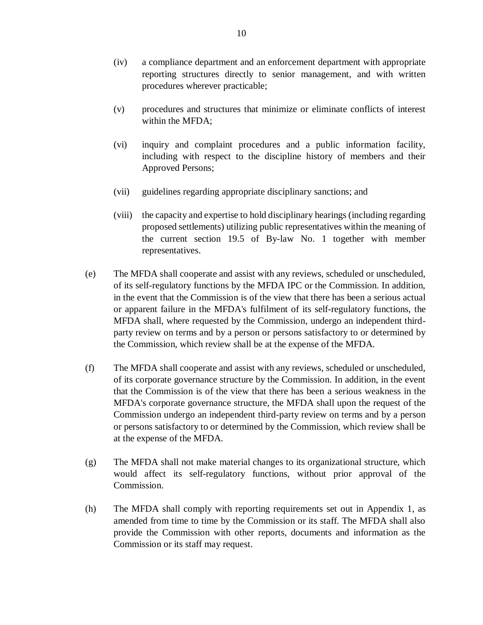- (iv) a compliance department and an enforcement department with appropriate reporting structures directly to senior management, and with written procedures wherever practicable;
- (v) procedures and structures that minimize or eliminate conflicts of interest within the MFDA;
- (vi) inquiry and complaint procedures and a public information facility, including with respect to the discipline history of members and their Approved Persons;
- (vii) guidelines regarding appropriate disciplinary sanctions; and
- (viii) the capacity and expertise to hold disciplinary hearings (including regarding proposed settlements) utilizing public representatives within the meaning of the current section 19.5 of By-law No. 1 together with member representatives.
- (e) The MFDA shall cooperate and assist with any reviews, scheduled or unscheduled, of its self-regulatory functions by the MFDA IPC or the Commission. In addition, in the event that the Commission is of the view that there has been a serious actual or apparent failure in the MFDA's fulfilment of its self-regulatory functions, the MFDA shall, where requested by the Commission, undergo an independent thirdparty review on terms and by a person or persons satisfactory to or determined by the Commission, which review shall be at the expense of the MFDA.
- (f) The MFDA shall cooperate and assist with any reviews, scheduled or unscheduled, of its corporate governance structure by the Commission. In addition, in the event that the Commission is of the view that there has been a serious weakness in the MFDA's corporate governance structure, the MFDA shall upon the request of the Commission undergo an independent third-party review on terms and by a person or persons satisfactory to or determined by the Commission, which review shall be at the expense of the MFDA.
- (g) The MFDA shall not make material changes to its organizational structure, which would affect its self-regulatory functions, without prior approval of the Commission.
- (h) The MFDA shall comply with reporting requirements set out in Appendix 1, as amended from time to time by the Commission or its staff. The MFDA shall also provide the Commission with other reports, documents and information as the Commission or its staff may request.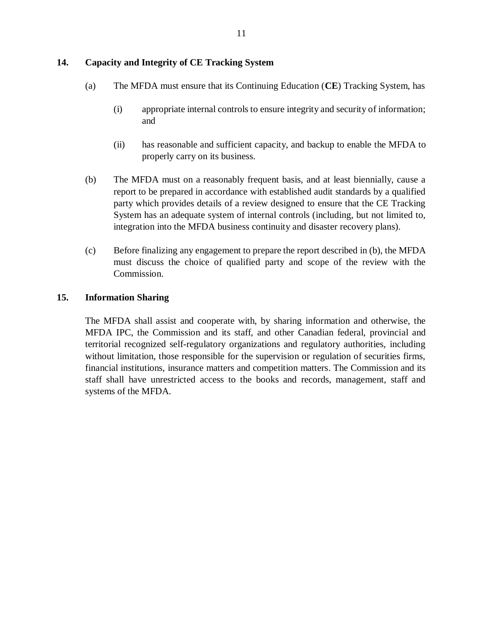### **14. Capacity and Integrity of CE Tracking System**

- (a) The MFDA must ensure that its Continuing Education (**CE**) Tracking System, has
	- (i) appropriate internal controls to ensure integrity and security of information; and
	- (ii) has reasonable and sufficient capacity, and backup to enable the MFDA to properly carry on its business.
- (b) The MFDA must on a reasonably frequent basis, and at least biennially, cause a report to be prepared in accordance with established audit standards by a qualified party which provides details of a review designed to ensure that the CE Tracking System has an adequate system of internal controls (including, but not limited to, integration into the MFDA business continuity and disaster recovery plans).
- (c) Before finalizing any engagement to prepare the report described in (b), the MFDA must discuss the choice of qualified party and scope of the review with the Commission.

### **15. Information Sharing**

The MFDA shall assist and cooperate with, by sharing information and otherwise, the MFDA IPC, the Commission and its staff, and other Canadian federal, provincial and territorial recognized self-regulatory organizations and regulatory authorities, including without limitation, those responsible for the supervision or regulation of securities firms, financial institutions, insurance matters and competition matters. The Commission and its staff shall have unrestricted access to the books and records, management, staff and systems of the MFDA.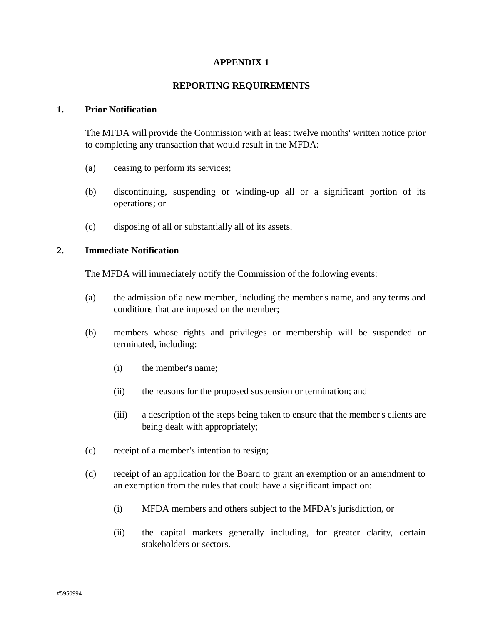### **APPENDIX 1**

#### **REPORTING REQUIREMENTS**

#### **1. Prior Notification**

The MFDA will provide the Commission with at least twelve months' written notice prior to completing any transaction that would result in the MFDA:

- (a) ceasing to perform its services;
- (b) discontinuing, suspending or winding-up all or a significant portion of its operations; or
- (c) disposing of all or substantially all of its assets.

#### **2. Immediate Notification**

The MFDA will immediately notify the Commission of the following events:

- (a) the admission of a new member, including the member's name, and any terms and conditions that are imposed on the member;
- (b) members whose rights and privileges or membership will be suspended or terminated, including:
	- (i) the member's name;
	- (ii) the reasons for the proposed suspension or termination; and
	- (iii) a description of the steps being taken to ensure that the member's clients are being dealt with appropriately;
- (c) receipt of a member's intention to resign;
- (d) receipt of an application for the Board to grant an exemption or an amendment to an exemption from the rules that could have a significant impact on:
	- (i) MFDA members and others subject to the MFDA's jurisdiction, or
	- (ii) the capital markets generally including, for greater clarity, certain stakeholders or sectors.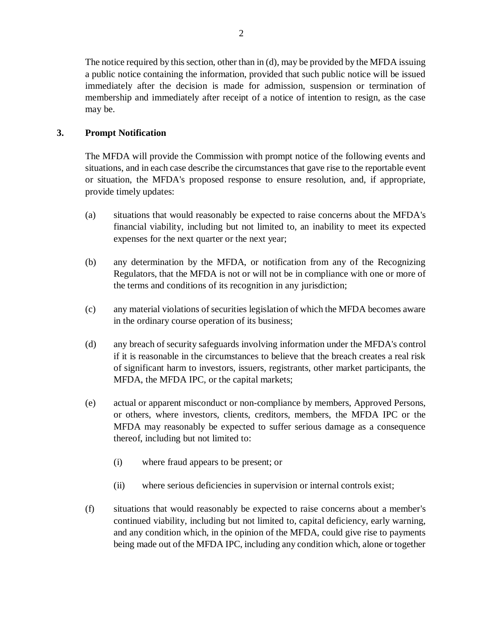The notice required by this section, other than in (d), may be provided by the MFDA issuing a public notice containing the information, provided that such public notice will be issued immediately after the decision is made for admission, suspension or termination of membership and immediately after receipt of a notice of intention to resign, as the case may be.

# **3. Prompt Notification**

The MFDA will provide the Commission with prompt notice of the following events and situations, and in each case describe the circumstances that gave rise to the reportable event or situation, the MFDA's proposed response to ensure resolution, and, if appropriate, provide timely updates:

- (a) situations that would reasonably be expected to raise concerns about the MFDA's financial viability, including but not limited to, an inability to meet its expected expenses for the next quarter or the next year;
- (b) any determination by the MFDA, or notification from any of the Recognizing Regulators, that the MFDA is not or will not be in compliance with one or more of the terms and conditions of its recognition in any jurisdiction;
- (c) any material violations of securities legislation of which the MFDA becomes aware in the ordinary course operation of its business;
- (d) any breach of security safeguards involving information under the MFDA's control if it is reasonable in the circumstances to believe that the breach creates a real risk of significant harm to investors, issuers, registrants, other market participants, the MFDA, the MFDA IPC, or the capital markets;
- (e) actual or apparent misconduct or non-compliance by members, Approved Persons, or others, where investors, clients, creditors, members, the MFDA IPC or the MFDA may reasonably be expected to suffer serious damage as a consequence thereof, including but not limited to:
	- (i) where fraud appears to be present; or
	- (ii) where serious deficiencies in supervision or internal controls exist;
- (f) situations that would reasonably be expected to raise concerns about a member's continued viability, including but not limited to, capital deficiency, early warning, and any condition which, in the opinion of the MFDA, could give rise to payments being made out of the MFDA IPC, including any condition which, alone or together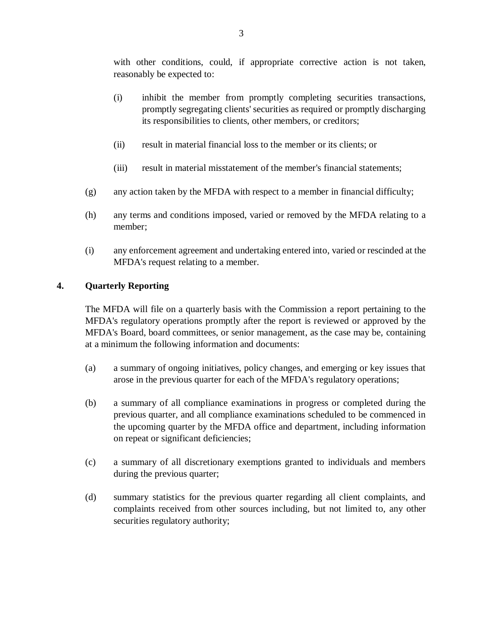with other conditions, could, if appropriate corrective action is not taken, reasonably be expected to:

- (i) inhibit the member from promptly completing securities transactions, promptly segregating clients' securities as required or promptly discharging its responsibilities to clients, other members, or creditors;
- (ii) result in material financial loss to the member or its clients; or
- (iii) result in material misstatement of the member's financial statements;
- (g) any action taken by the MFDA with respect to a member in financial difficulty;
- (h) any terms and conditions imposed, varied or removed by the MFDA relating to a member;
- (i) any enforcement agreement and undertaking entered into, varied or rescinded at the MFDA's request relating to a member.

# **4. Quarterly Reporting**

The MFDA will file on a quarterly basis with the Commission a report pertaining to the MFDA's regulatory operations promptly after the report is reviewed or approved by the MFDA's Board, board committees, or senior management, as the case may be, containing at a minimum the following information and documents:

- (a) a summary of ongoing initiatives, policy changes, and emerging or key issues that arose in the previous quarter for each of the MFDA's regulatory operations;
- (b) a summary of all compliance examinations in progress or completed during the previous quarter, and all compliance examinations scheduled to be commenced in the upcoming quarter by the MFDA office and department, including information on repeat or significant deficiencies;
- (c) a summary of all discretionary exemptions granted to individuals and members during the previous quarter;
- (d) summary statistics for the previous quarter regarding all client complaints, and complaints received from other sources including, but not limited to, any other securities regulatory authority;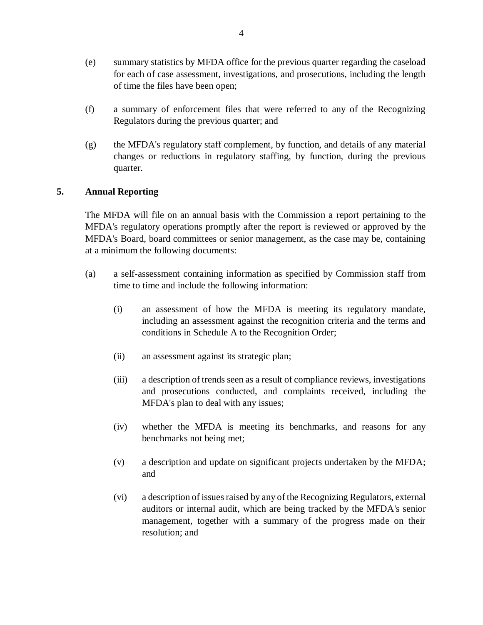- (e) summary statistics by MFDA office for the previous quarter regarding the caseload for each of case assessment, investigations, and prosecutions, including the length of time the files have been open;
- (f) a summary of enforcement files that were referred to any of the Recognizing Regulators during the previous quarter; and
- (g) the MFDA's regulatory staff complement, by function, and details of any material changes or reductions in regulatory staffing, by function, during the previous quarter.

# **5. Annual Reporting**

The MFDA will file on an annual basis with the Commission a report pertaining to the MFDA's regulatory operations promptly after the report is reviewed or approved by the MFDA's Board, board committees or senior management, as the case may be, containing at a minimum the following documents:

- (a) a self-assessment containing information as specified by Commission staff from time to time and include the following information:
	- (i) an assessment of how the MFDA is meeting its regulatory mandate, including an assessment against the recognition criteria and the terms and conditions in Schedule A to the Recognition Order;
	- (ii) an assessment against its strategic plan;
	- (iii) a description of trends seen as a result of compliance reviews, investigations and prosecutions conducted, and complaints received, including the MFDA's plan to deal with any issues;
	- (iv) whether the MFDA is meeting its benchmarks, and reasons for any benchmarks not being met;
	- (v) a description and update on significant projects undertaken by the MFDA; and
	- (vi) a description of issues raised by any of the Recognizing Regulators, external auditors or internal audit, which are being tracked by the MFDA's senior management, together with a summary of the progress made on their resolution; and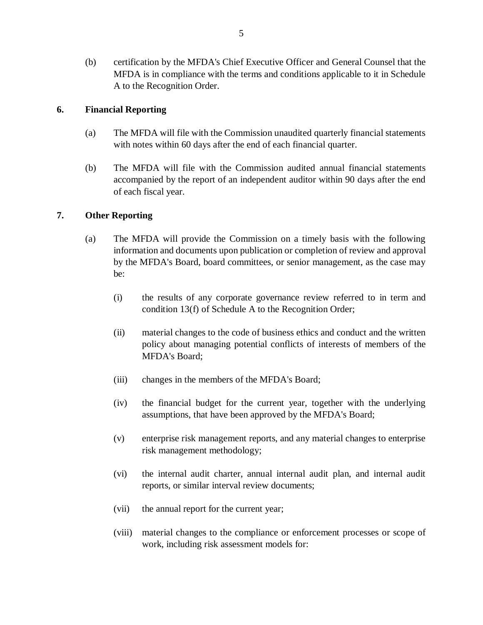(b) certification by the MFDA's Chief Executive Officer and General Counsel that the MFDA is in compliance with the terms and conditions applicable to it in Schedule A to the Recognition Order.

### **6. Financial Reporting**

- (a) The MFDA will file with the Commission unaudited quarterly financial statements with notes within 60 days after the end of each financial quarter.
- (b) The MFDA will file with the Commission audited annual financial statements accompanied by the report of an independent auditor within 90 days after the end of each fiscal year.

# **7. Other Reporting**

- (a) The MFDA will provide the Commission on a timely basis with the following information and documents upon publication or completion of review and approval by the MFDA's Board, board committees, or senior management, as the case may be:
	- (i) the results of any corporate governance review referred to in term and condition 13(f) of Schedule A to the Recognition Order;
	- (ii) material changes to the code of business ethics and conduct and the written policy about managing potential conflicts of interests of members of the MFDA's Board;
	- (iii) changes in the members of the MFDA's Board;
	- (iv) the financial budget for the current year, together with the underlying assumptions, that have been approved by the MFDA's Board;
	- (v) enterprise risk management reports, and any material changes to enterprise risk management methodology;
	- (vi) the internal audit charter, annual internal audit plan, and internal audit reports, or similar interval review documents;
	- (vii) the annual report for the current year;
	- (viii) material changes to the compliance or enforcement processes or scope of work, including risk assessment models for: